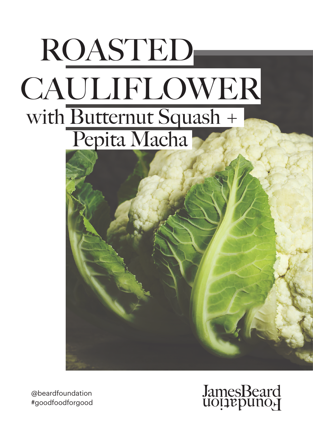



@beardfoundation #goodfoodforgood

# JamesBeard<br>uoțiepuno<sub>r</sub>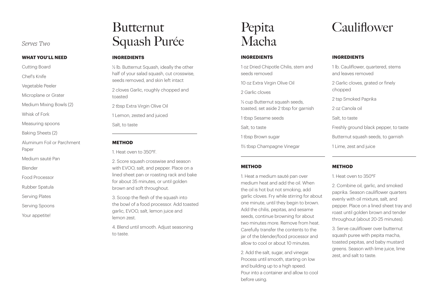#### **WHAT YOU'LL NEED**

Cutting Board

Chef's Knife

Vegetable Peeler

Microplane or Grater

Medium Mixing Bowls (2)

Whisk of Fork

Measuring spoons

Baking Sheets (2)

Aluminum Foil or Parchment Paper

Medium sauté Pan

Blender

Food Processor

Rubber Spatula

Serving Plates

Serving Spoons

Your appetite!

## **Butternut Serves Two Squash Purée**

#### **INGREDIENTS**

½ lb. Butternut Squash, ideally the other half of your salad squash, cut crosswise, seeds removed, and skin left intact 2 cloves Garlic, roughly chopped and toasted 2 tbsp Extra Virgin Olive Oil 1 Lemon, zested and juiced

Salt, to taste

### **METHOD**

1. Heat oven to 350°F.

2. Score squash crosswise and season with EVOO, salt, and pepper. Place on a lined sheet pan or roasting rack and bake for about 35 minutes, or until golden brown and soft throughout.

3. Scoop the flesh of the squash into the bowl of a food processor. Add toasted garlic, EVOO, salt, lemon juice and lemon zest.

4. Blend until smooth. Adjust seasoning to taste.

### Pepita Macha

### **INGREDIENTS**

1 oz Dried Chipotle Chilis, stem and seeds removed

10 oz Extra Virgin Olive Oil

2 Garlic cloves

⅓ cup Butternut squash seeds, toasted, set aside 2 tbsp for garnish

1 tbsp Sesame seeds

Salt, to taste

1 tbsp Brown sugar

1½ tbsp Champagne Vinegar

#### **METHOD**

1. Heat a medium sauté pan over medium heat and add the oil. When the oil is hot but not smoking, add garlic cloves. Fry while stirring for about one minute, until they begin to brown. Add the chilis, pepitas, and sesame seeds, continue browning for about two minutes more. Remove from heat. Carefully transfer the contents to the jar of the blender/food processor and allow to cool or about 10 minutes.

2. Add the salt, sugar, and vinegar. Process until smooth, starting on low and building up to a high speed. Pour into a container and allow to cool before using.

### **Cauliflower**

#### **INGREDIENTS**

1 lb. Cauliflower, quartered, stems and leaves removed

2 Garlic cloves, grated or finely chopped

2 tsp Smoked Paprika

2 oz Canola oil

Salt, to taste

Freshly ground black pepper, to taste

Butternut squash seeds, to garnish

1 Lime, zest and juice

#### **METHOD**

1. Heat oven to 350°F

2. Combine oil, garlic, and smoked paprika. Season cauliflower quarters evenly with oil mixture, salt, and pepper. Place on a lined sheet tray and roast until golden brown and tender throughout (about 20-25 minutes).

3. Serve cauliflower over butternut squash puree with pepita macha, toasted pepitas, and baby mustard greens. Season with lime juice, lime zest, and salt to taste.